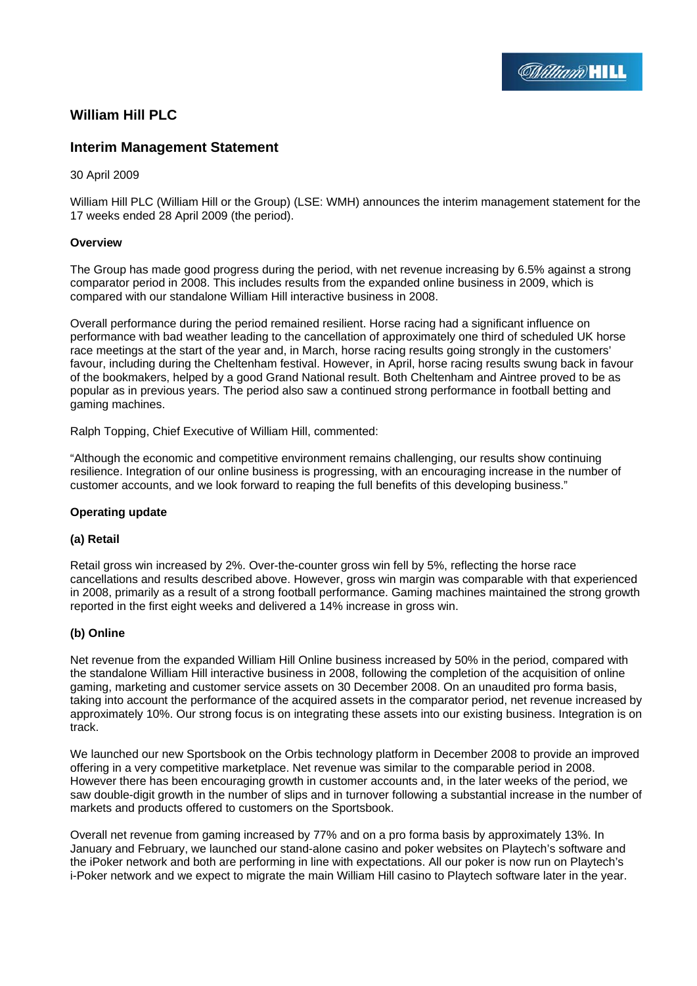

# **William Hill PLC**

# **Interim Management Statement**

### 30 April 2009

William Hill PLC (William Hill or the Group) (LSE: WMH) announces the interim management statement for the 17 weeks ended 28 April 2009 (the period).

### **Overview**

The Group has made good progress during the period, with net revenue increasing by 6.5% against a strong comparator period in 2008. This includes results from the expanded online business in 2009, which is compared with our standalone William Hill interactive business in 2008.

Overall performance during the period remained resilient. Horse racing had a significant influence on performance with bad weather leading to the cancellation of approximately one third of scheduled UK horse race meetings at the start of the year and, in March, horse racing results going strongly in the customers' favour, including during the Cheltenham festival. However, in April, horse racing results swung back in favour of the bookmakers, helped by a good Grand National result. Both Cheltenham and Aintree proved to be as popular as in previous years. The period also saw a continued strong performance in football betting and gaming machines.

Ralph Topping, Chief Executive of William Hill, commented:

"Although the economic and competitive environment remains challenging, our results show continuing resilience. Integration of our online business is progressing, with an encouraging increase in the number of customer accounts, and we look forward to reaping the full benefits of this developing business."

### **Operating update**

### **(a) Retail**

Retail gross win increased by 2%. Over-the-counter gross win fell by 5%, reflecting the horse race cancellations and results described above. However, gross win margin was comparable with that experienced in 2008, primarily as a result of a strong football performance. Gaming machines maintained the strong growth reported in the first eight weeks and delivered a 14% increase in gross win.

### **(b) Online**

Net revenue from the expanded William Hill Online business increased by 50% in the period, compared with the standalone William Hill interactive business in 2008, following the completion of the acquisition of online gaming, marketing and customer service assets on 30 December 2008. On an unaudited pro forma basis, taking into account the performance of the acquired assets in the comparator period, net revenue increased by approximately 10%. Our strong focus is on integrating these assets into our existing business. Integration is on track.

We launched our new Sportsbook on the Orbis technology platform in December 2008 to provide an improved offering in a very competitive marketplace. Net revenue was similar to the comparable period in 2008. However there has been encouraging growth in customer accounts and, in the later weeks of the period, we saw double-digit growth in the number of slips and in turnover following a substantial increase in the number of markets and products offered to customers on the Sportsbook.

Overall net revenue from gaming increased by 77% and on a pro forma basis by approximately 13%. In January and February, we launched our stand-alone casino and poker websites on Playtech's software and the iPoker network and both are performing in line with expectations. All our poker is now run on Playtech's i-Poker network and we expect to migrate the main William Hill casino to Playtech software later in the year.